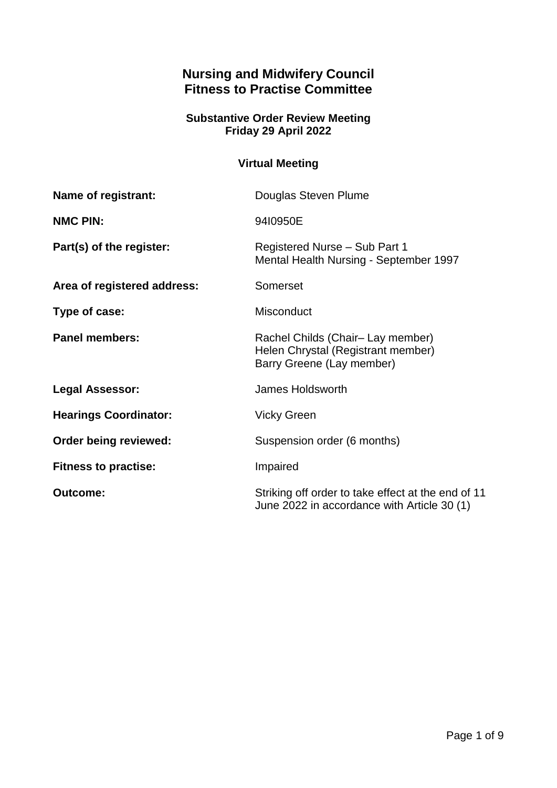# **Nursing and Midwifery Council Fitness to Practise Committee**

## **Substantive Order Review Meeting Friday 29 April 2022**

## **Virtual Meeting**

| Name of registrant:          | Douglas Steven Plume                                                                                |
|------------------------------|-----------------------------------------------------------------------------------------------------|
| <b>NMC PIN:</b>              | 9410950E                                                                                            |
| Part(s) of the register:     | Registered Nurse - Sub Part 1<br>Mental Health Nursing - September 1997                             |
| Area of registered address:  | Somerset                                                                                            |
| Type of case:                | <b>Misconduct</b>                                                                                   |
| <b>Panel members:</b>        | Rachel Childs (Chair-Lay member)<br>Helen Chrystal (Registrant member)<br>Barry Greene (Lay member) |
| <b>Legal Assessor:</b>       | James Holdsworth                                                                                    |
| <b>Hearings Coordinator:</b> | <b>Vicky Green</b>                                                                                  |
| Order being reviewed:        | Suspension order (6 months)                                                                         |
| <b>Fitness to practise:</b>  | Impaired                                                                                            |
| Outcome:                     | Striking off order to take effect at the end of 11<br>June 2022 in accordance with Article 30 (1)   |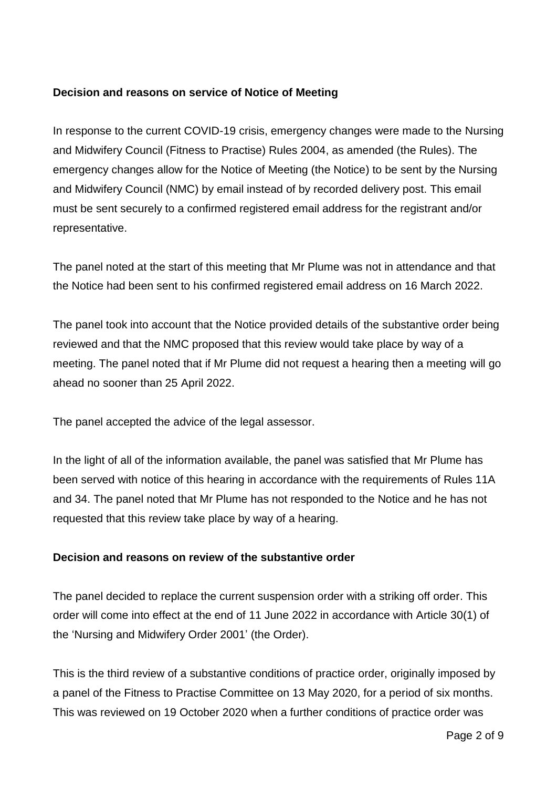### **Decision and reasons on service of Notice of Meeting**

In response to the current COVID-19 crisis, emergency changes were made to the Nursing and Midwifery Council (Fitness to Practise) Rules 2004, as amended (the Rules). The emergency changes allow for the Notice of Meeting (the Notice) to be sent by the Nursing and Midwifery Council (NMC) by email instead of by recorded delivery post. This email must be sent securely to a confirmed registered email address for the registrant and/or representative.

The panel noted at the start of this meeting that Mr Plume was not in attendance and that the Notice had been sent to his confirmed registered email address on 16 March 2022.

The panel took into account that the Notice provided details of the substantive order being reviewed and that the NMC proposed that this review would take place by way of a meeting. The panel noted that if Mr Plume did not request a hearing then a meeting will go ahead no sooner than 25 April 2022.

The panel accepted the advice of the legal assessor.

In the light of all of the information available, the panel was satisfied that Mr Plume has been served with notice of this hearing in accordance with the requirements of Rules 11A and 34. The panel noted that Mr Plume has not responded to the Notice and he has not requested that this review take place by way of a hearing.

#### **Decision and reasons on review of the substantive order**

The panel decided to replace the current suspension order with a striking off order. This order will come into effect at the end of 11 June 2022 in accordance with Article 30(1) of the 'Nursing and Midwifery Order 2001' (the Order).

This is the third review of a substantive conditions of practice order, originally imposed by a panel of the Fitness to Practise Committee on 13 May 2020, for a period of six months. This was reviewed on 19 October 2020 when a further conditions of practice order was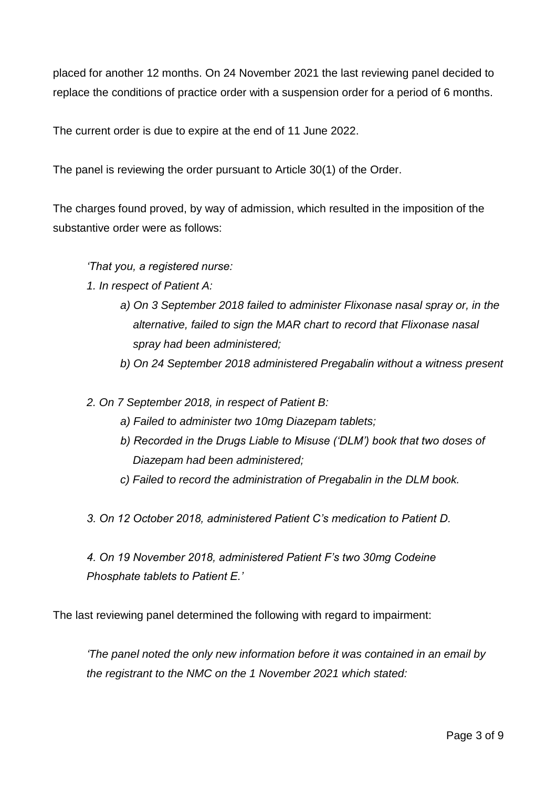placed for another 12 months. On 24 November 2021 the last reviewing panel decided to replace the conditions of practice order with a suspension order for a period of 6 months.

The current order is due to expire at the end of 11 June 2022.

The panel is reviewing the order pursuant to Article 30(1) of the Order.

The charges found proved, by way of admission, which resulted in the imposition of the substantive order were as follows:

*'That you, a registered nurse:*

- *1. In respect of Patient A:*
	- *a) On 3 September 2018 failed to administer Flixonase nasal spray or, in the alternative, failed to sign the MAR chart to record that Flixonase nasal spray had been administered;*
	- *b) On 24 September 2018 administered Pregabalin without a witness present*

*2. On 7 September 2018, in respect of Patient B:*

- *a) Failed to administer two 10mg Diazepam tablets;*
- *b) Recorded in the Drugs Liable to Misuse ('DLM') book that two doses of Diazepam had been administered;*
- *c) Failed to record the administration of Pregabalin in the DLM book.*

*3. On 12 October 2018, administered Patient C's medication to Patient D.*

*4. On 19 November 2018, administered Patient F's two 30mg Codeine Phosphate tablets to Patient E.'*

The last reviewing panel determined the following with regard to impairment:

*'The panel noted the only new information before it was contained in an email by the registrant to the NMC on the 1 November 2021 which stated:*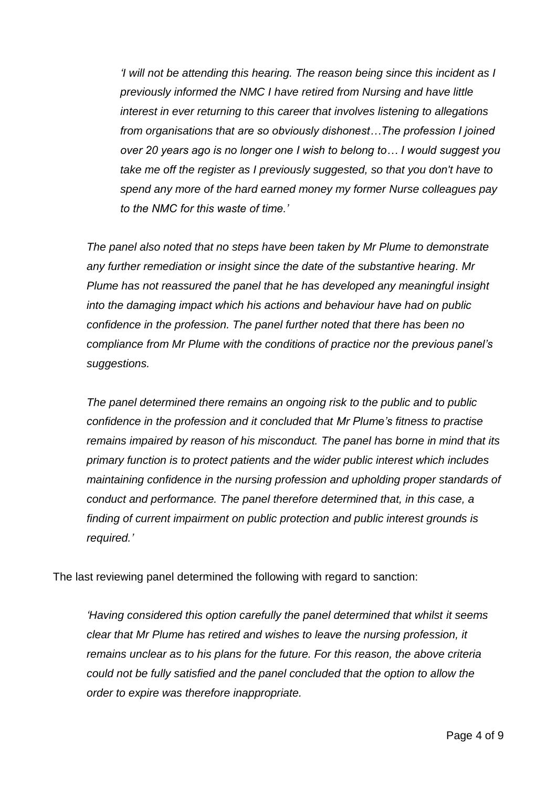*'I will not be attending this hearing. The reason being since this incident as I previously informed the NMC I have retired from Nursing and have little interest in ever returning to this career that involves listening to allegations from organisations that are so obviously dishonest…The profession I joined over 20 years ago is no longer one I wish to belong to… I would suggest you take me off the register as I previously suggested, so that you don't have to spend any more of the hard earned money my former Nurse colleagues pay to the NMC for this waste of time.'*

*The panel also noted that no steps have been taken by Mr Plume to demonstrate any further remediation or insight since the date of the substantive hearing. Mr Plume has not reassured the panel that he has developed any meaningful insight into the damaging impact which his actions and behaviour have had on public confidence in the profession. The panel further noted that there has been no compliance from Mr Plume with the conditions of practice nor the previous panel's suggestions.*

*The panel determined there remains an ongoing risk to the public and to public confidence in the profession and it concluded that Mr Plume's fitness to practise remains impaired by reason of his misconduct. The panel has borne in mind that its primary function is to protect patients and the wider public interest which includes maintaining confidence in the nursing profession and upholding proper standards of conduct and performance. The panel therefore determined that, in this case, a finding of current impairment on public protection and public interest grounds is required.'*

The last reviewing panel determined the following with regard to sanction:

*'Having considered this option carefully the panel determined that whilst it seems clear that Mr Plume has retired and wishes to leave the nursing profession, it remains unclear as to his plans for the future. For this reason, the above criteria could not be fully satisfied and the panel concluded that the option to allow the order to expire was therefore inappropriate.*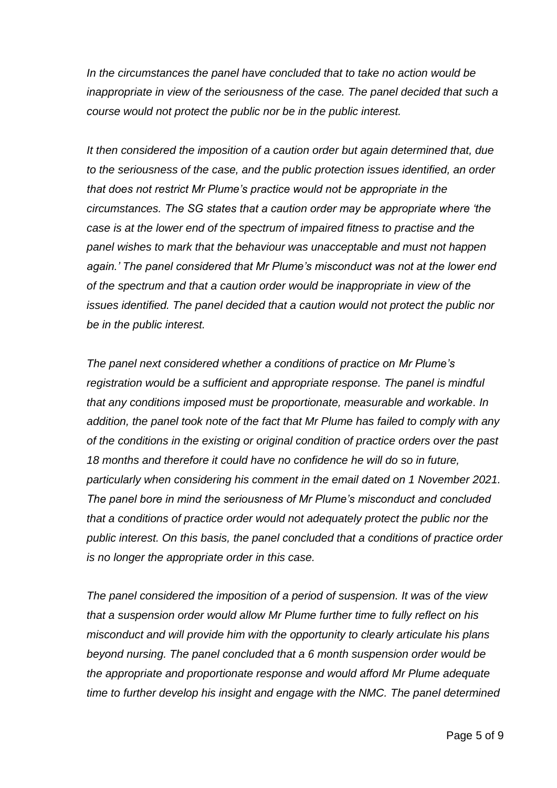*In the circumstances the panel have concluded that to take no action would be inappropriate in view of the seriousness of the case. The panel decided that such a course would not protect the public nor be in the public interest.*

*It then considered the imposition of a caution order but again determined that, due to the seriousness of the case, and the public protection issues identified, an order that does not restrict Mr Plume's practice would not be appropriate in the circumstances. The SG states that a caution order may be appropriate where 'the case is at the lower end of the spectrum of impaired fitness to practise and the panel wishes to mark that the behaviour was unacceptable and must not happen again.' The panel considered that Mr Plume's misconduct was not at the lower end of the spectrum and that a caution order would be inappropriate in view of the issues identified. The panel decided that a caution would not protect the public nor be in the public interest.*

*The panel next considered whether a conditions of practice on Mr Plume's registration would be a sufficient and appropriate response. The panel is mindful that any conditions imposed must be proportionate, measurable and workable. In addition, the panel took note of the fact that Mr Plume has failed to comply with any of the conditions in the existing or original condition of practice orders over the past 18 months and therefore it could have no confidence he will do so in future, particularly when considering his comment in the email dated on 1 November 2021. The panel bore in mind the seriousness of Mr Plume's misconduct and concluded that a conditions of practice order would not adequately protect the public nor the public interest. On this basis, the panel concluded that a conditions of practice order is no longer the appropriate order in this case.*

*The panel considered the imposition of a period of suspension. It was of the view that a suspension order would allow Mr Plume further time to fully reflect on his misconduct and will provide him with the opportunity to clearly articulate his plans beyond nursing. The panel concluded that a 6 month suspension order would be the appropriate and proportionate response and would afford Mr Plume adequate time to further develop his insight and engage with the NMC. The panel determined*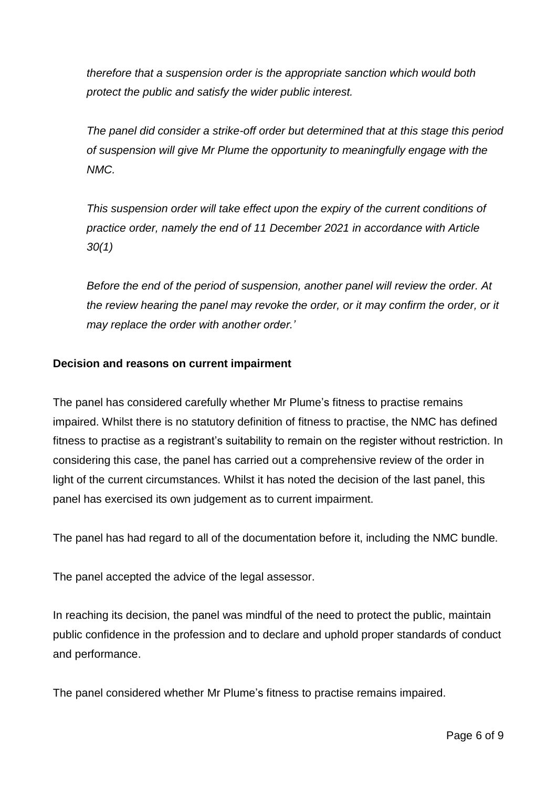*therefore that a suspension order is the appropriate sanction which would both protect the public and satisfy the wider public interest.* 

*The panel did consider a strike-off order but determined that at this stage this period of suspension will give Mr Plume the opportunity to meaningfully engage with the NMC.* 

*This suspension order will take effect upon the expiry of the current conditions of practice order, namely the end of 11 December 2021 in accordance with Article 30(1)* 

*Before the end of the period of suspension, another panel will review the order. At the review hearing the panel may revoke the order, or it may confirm the order, or it may replace the order with another order.'*

#### **Decision and reasons on current impairment**

The panel has considered carefully whether Mr Plume's fitness to practise remains impaired. Whilst there is no statutory definition of fitness to practise, the NMC has defined fitness to practise as a registrant's suitability to remain on the register without restriction. In considering this case, the panel has carried out a comprehensive review of the order in light of the current circumstances. Whilst it has noted the decision of the last panel, this panel has exercised its own judgement as to current impairment.

The panel has had regard to all of the documentation before it, including the NMC bundle.

The panel accepted the advice of the legal assessor.

In reaching its decision, the panel was mindful of the need to protect the public, maintain public confidence in the profession and to declare and uphold proper standards of conduct and performance.

The panel considered whether Mr Plume's fitness to practise remains impaired.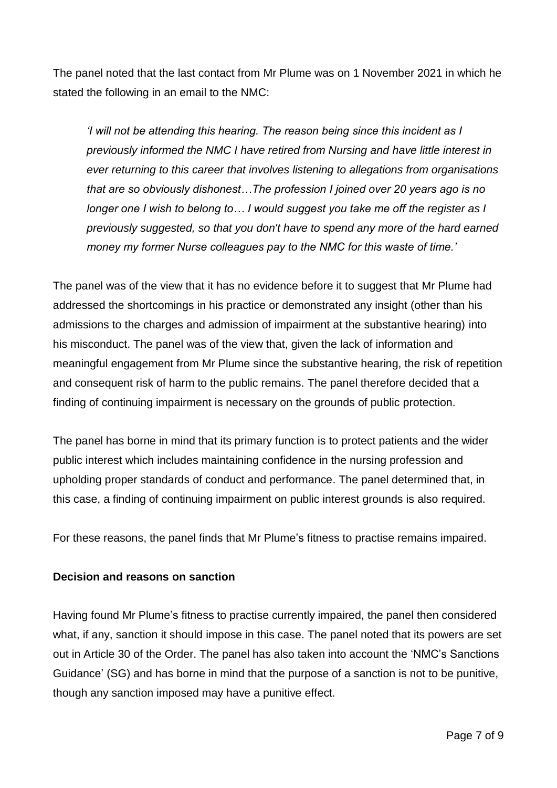The panel noted that the last contact from Mr Plume was on 1 November 2021 in which he stated the following in an email to the NMC:

*'I will not be attending this hearing. The reason being since this incident as I previously informed the NMC I have retired from Nursing and have little interest in ever returning to this career that involves listening to allegations from organisations that are so obviously dishonest…The profession I joined over 20 years ago is no longer one I wish to belong to… I would suggest you take me off the register as I previously suggested, so that you don't have to spend any more of the hard earned money my former Nurse colleagues pay to the NMC for this waste of time.'*

The panel was of the view that it has no evidence before it to suggest that Mr Plume had addressed the shortcomings in his practice or demonstrated any insight (other than his admissions to the charges and admission of impairment at the substantive hearing) into his misconduct. The panel was of the view that, given the lack of information and meaningful engagement from Mr Plume since the substantive hearing, the risk of repetition and consequent risk of harm to the public remains. The panel therefore decided that a finding of continuing impairment is necessary on the grounds of public protection.

The panel has borne in mind that its primary function is to protect patients and the wider public interest which includes maintaining confidence in the nursing profession and upholding proper standards of conduct and performance. The panel determined that, in this case, a finding of continuing impairment on public interest grounds is also required.

For these reasons, the panel finds that Mr Plume's fitness to practise remains impaired.

#### **Decision and reasons on sanction**

Having found Mr Plume's fitness to practise currently impaired, the panel then considered what, if any, sanction it should impose in this case. The panel noted that its powers are set out in Article 30 of the Order. The panel has also taken into account the 'NMC's Sanctions Guidance' (SG) and has borne in mind that the purpose of a sanction is not to be punitive, though any sanction imposed may have a punitive effect.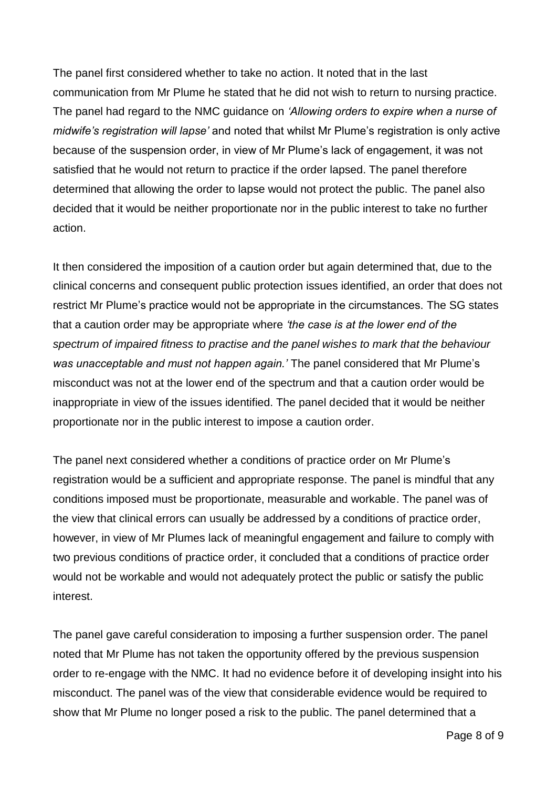The panel first considered whether to take no action. It noted that in the last communication from Mr Plume he stated that he did not wish to return to nursing practice. The panel had regard to the NMC guidance on *'Allowing orders to expire when a nurse of midwife's registration will lapse'* and noted that whilst Mr Plume's registration is only active because of the suspension order, in view of Mr Plume's lack of engagement, it was not satisfied that he would not return to practice if the order lapsed. The panel therefore determined that allowing the order to lapse would not protect the public. The panel also decided that it would be neither proportionate nor in the public interest to take no further action.

It then considered the imposition of a caution order but again determined that, due to the clinical concerns and consequent public protection issues identified, an order that does not restrict Mr Plume's practice would not be appropriate in the circumstances. The SG states that a caution order may be appropriate where *'the case is at the lower end of the spectrum of impaired fitness to practise and the panel wishes to mark that the behaviour was unacceptable and must not happen again.'* The panel considered that Mr Plume's misconduct was not at the lower end of the spectrum and that a caution order would be inappropriate in view of the issues identified. The panel decided that it would be neither proportionate nor in the public interest to impose a caution order.

The panel next considered whether a conditions of practice order on Mr Plume's registration would be a sufficient and appropriate response. The panel is mindful that any conditions imposed must be proportionate, measurable and workable. The panel was of the view that clinical errors can usually be addressed by a conditions of practice order, however, in view of Mr Plumes lack of meaningful engagement and failure to comply with two previous conditions of practice order, it concluded that a conditions of practice order would not be workable and would not adequately protect the public or satisfy the public interest.

The panel gave careful consideration to imposing a further suspension order. The panel noted that Mr Plume has not taken the opportunity offered by the previous suspension order to re-engage with the NMC. It had no evidence before it of developing insight into his misconduct. The panel was of the view that considerable evidence would be required to show that Mr Plume no longer posed a risk to the public. The panel determined that a